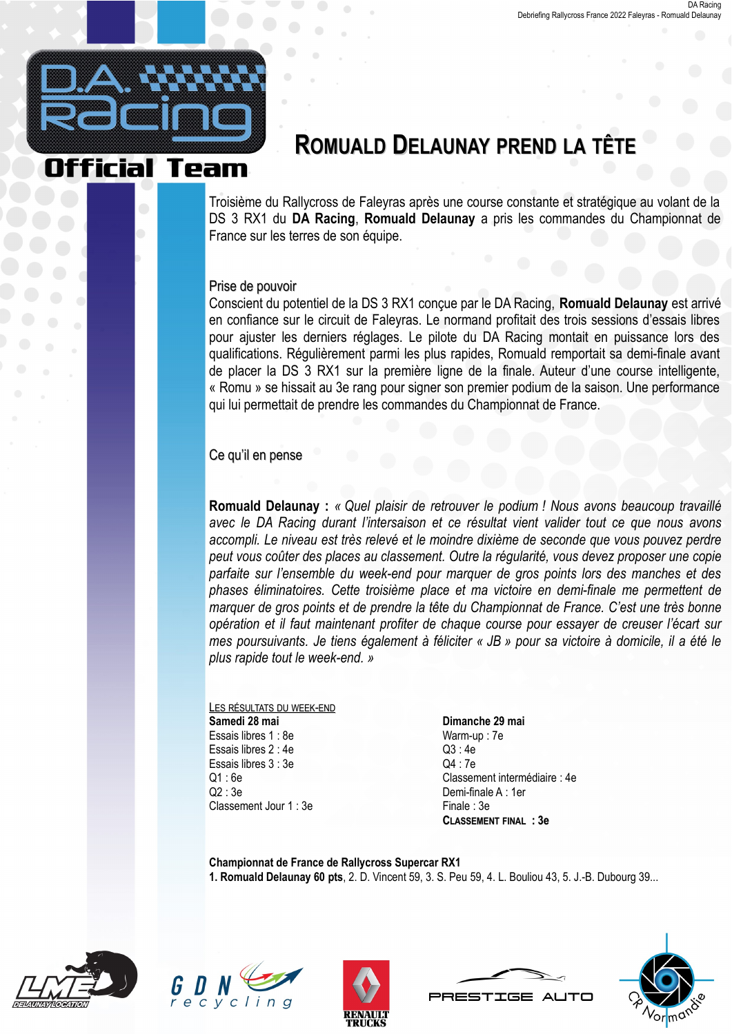

# **ROMUALD DELAUNAY PREND LA TÊT**

Troisième du Rallycross de Faleyras après une course constante et stratégique au volant de la DS 3 RX1 du DA Racing, Romuald Delaunay a pris les commandes du Championnat de France sur les terres de son équipe.

# Prise de pouvoir

Conscient du potentiel de la DS 3 RX1 conçue par le DA Racing, Romuald Delaunay est arrivé en confiance sur le circuit de Faleyras. Le normand profitait des trois sessions d'essais libres pour ajuster les derniers réglages. Le pilote du DA Racing montait en puissance lors des qualifications. Régulièrement parmi les plus rapides, Romuald remportait sa demi-finale avant de placer la DS 3 RX1 sur la première ligne de la finale. Auteur d'une course intelligente. « Romu » se hissait au 3e rang pour signer son premier podium de la saison. Une performance qui lui permettait de prendre les commandes du Championnat de France.

# Ce qu'il en pense

Romuald Delaunay : « Quel plaisir de retrouver le podium ! Nous avons beaucoup travaillé avec le DA Racing durant l'intersaison et ce résultat vient valider tout ce que nous avons accompli. Le niveau est très relevé et le moindre dixième de seconde que vous pouvez perdre peut vous coûter des places au classement. Outre la régularité, vous devez proposer une copie parfaite sur l'ensemble du week-end pour marquer de gros points lors des manches et des phases éliminatoires. Cette troisième place et ma victoire en demi-finale me permettent de marquer de gros points et de prendre la tête du Championnat de France. C'est une très bonne opération et il faut maintenant profiter de chaque course pour essayer de creuser l'écart sur mes poursuivants. Je tiens également à féliciter « JB » pour sa victoire à domicile, il a été le plus rapide tout le week-end. »

### LES RÉSULTATS DU WEEK-END Samedi 28 mai Essais libres 1 . 8e Essais libres 2 · 4e Essais libres 3 : 3e  $Q1:6e$  $Q2:3e$ Classement Jour 1 : 3e

### Dimanche 29 mai Warm-up: 7e  $Q3:4e$  $Q4:7e$ Classement intermédiaire : 4e Demi-finale A: 1er Finale: 3e **CLASSEMENT FINAL : 3e**

Championnat de France de Rallycross Supercar RX1 1. Romuald Delaunay 60 pts, 2. D. Vincent 59, 3. S. Peu 59, 4. L. Bouliou 43, 5. J.-B. Dubourg 39...